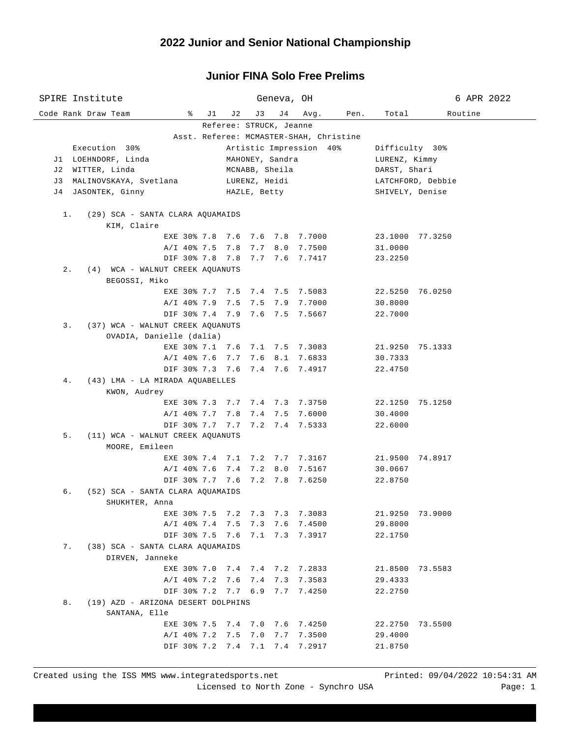| SPIRE Institute                                                           |                        | Geneva, OH                                                       |                                |                    | 6 APR 2022 |  |  |  |  |  |
|---------------------------------------------------------------------------|------------------------|------------------------------------------------------------------|--------------------------------|--------------------|------------|--|--|--|--|--|
| Code Rank Draw Team                                                       | $\sqrt[3]{}$ J1<br>J 2 | J 4<br>J3                                                        | Avg. Pen.                      | Total              | Routine    |  |  |  |  |  |
|                                                                           |                        | Referee: STRUCK, Jeanne                                          |                                |                    |            |  |  |  |  |  |
| Asst. Referee: MCMASTER-SHAH, Christine                                   |                        |                                                                  |                                |                    |            |  |  |  |  |  |
| Execution 30%                                                             |                        |                                                                  | Artistic Impression 40%        | Difficulty 30%     |            |  |  |  |  |  |
| MAHONEY, Sandra<br>J1 LOEHNDORF, Linda<br>LURENZ, Kimmy<br>MCNABB, Sheila |                        |                                                                  |                                |                    |            |  |  |  |  |  |
| J2 WITTER, Linda                                                          | DARST, Shari           |                                                                  |                                |                    |            |  |  |  |  |  |
| J3 MALINOVSKAYA, Svetlana                                                 |                        | LATCHFORD, Debbie                                                |                                |                    |            |  |  |  |  |  |
| J4 JASONTEK, Ginny                                                        | SHIVELY, Denise        |                                                                  |                                |                    |            |  |  |  |  |  |
| (29) SCA - SANTA CLARA AQUAMAIDS<br>1.                                    |                        |                                                                  |                                |                    |            |  |  |  |  |  |
| KIM, Claire                                                               |                        |                                                                  |                                |                    |            |  |  |  |  |  |
|                                                                           |                        | EXE 30% 7.8 7.6 7.6 7.8 7.7000                                   |                                | 23.1000 77.3250    |            |  |  |  |  |  |
|                                                                           | A/I 40% 7.5 7.8 7.7    |                                                                  | 8.0 7.7500                     | 31.0000            |            |  |  |  |  |  |
|                                                                           |                        | DIF 30% 7.8 7.8 7.7 7.6 7.7417                                   |                                | 23.2250            |            |  |  |  |  |  |
| $2$ .<br>(4) WCA - WALNUT CREEK AQUANUTS                                  |                        |                                                                  |                                |                    |            |  |  |  |  |  |
| BEGOSSI, Miko                                                             |                        |                                                                  |                                |                    |            |  |  |  |  |  |
|                                                                           |                        | EXE 30% 7.7 7.5 7.4 7.5 7.5083                                   |                                | 22.5250 76.0250    |            |  |  |  |  |  |
|                                                                           | A/I 40% 7.9 7.5 7.5    |                                                                  | 7.9 7.7000                     | 30.8000            |            |  |  |  |  |  |
|                                                                           |                        | DIF 30% 7.4 7.9 7.6 7.5 7.5667                                   |                                | 22.7000            |            |  |  |  |  |  |
| 3.<br>(37) WCA - WALNUT CREEK AQUANUTS                                    |                        |                                                                  |                                |                    |            |  |  |  |  |  |
| OVADIA, Danielle (dalia)                                                  |                        |                                                                  |                                |                    |            |  |  |  |  |  |
|                                                                           |                        | EXE 30% 7.1 7.6 7.1 7.5 7.3083                                   |                                | 21.9250 75.1333    |            |  |  |  |  |  |
|                                                                           |                        | A/I 40% 7.6 7.7 7.6 8.1 7.6833<br>DIF 30% 7.3 7.6 7.4 7.6 7.4917 |                                | 30.7333<br>22.4750 |            |  |  |  |  |  |
| (43) LMA - LA MIRADA AQUABELLES<br>4.                                     |                        |                                                                  |                                |                    |            |  |  |  |  |  |
| KWON, Audrey                                                              |                        |                                                                  |                                |                    |            |  |  |  |  |  |
|                                                                           |                        | EXE 30% 7.3 7.7 7.4 7.3 7.3750                                   |                                | 22.1250 75.1250    |            |  |  |  |  |  |
|                                                                           |                        | A/I 40% 7.7 7.8 7.4 7.5 7.6000                                   |                                | 30.4000            |            |  |  |  |  |  |
|                                                                           |                        | DIF 30% 7.7 7.7 7.2 7.4 7.5333                                   |                                | 22.6000            |            |  |  |  |  |  |
| 5.<br>(11) WCA - WALNUT CREEK AQUANUTS                                    |                        |                                                                  |                                |                    |            |  |  |  |  |  |
| MOORE, Emileen                                                            |                        |                                                                  |                                |                    |            |  |  |  |  |  |
|                                                                           |                        |                                                                  | EXE 30% 7.4 7.1 7.2 7.7 7.3167 | 21.9500 74.8917    |            |  |  |  |  |  |
|                                                                           | $A/I$ 40% 7.6 7.4 7.2  |                                                                  | 8.0 7.5167                     | 30.0667            |            |  |  |  |  |  |
|                                                                           | DIF 30% 7.7 7.6 7.2    |                                                                  | 7.8 7.6250                     | 22.8750            |            |  |  |  |  |  |
| (52) SCA - SANTA CLARA AQUAMAIDS<br>б.                                    |                        |                                                                  |                                |                    |            |  |  |  |  |  |
| SHUKHTER, Anna                                                            |                        |                                                                  |                                |                    |            |  |  |  |  |  |
| EXE 30% 7.5                                                               | 7.2                    | 7.3<br>7.3                                                       | 7.3083                         | 21.9250            | 73.9000    |  |  |  |  |  |
|                                                                           | A/I 40% 7.4 7.5        | 7.6<br>7.3                                                       | 7.4500                         | 29.8000            |            |  |  |  |  |  |
| (38) SCA - SANTA CLARA AQUAMAIDS<br>7.                                    | DIF 30% 7.5 7.6        | 7.1                                                              | 7.3 7.3917                     | 22.1750            |            |  |  |  |  |  |
| DIRVEN, Janneke                                                           |                        |                                                                  |                                |                    |            |  |  |  |  |  |
|                                                                           |                        | EXE 30% 7.0 7.4 7.4 7.2 7.2833                                   |                                | 21.8500 73.5583    |            |  |  |  |  |  |
|                                                                           | A/I 40% 7.2 7.6        | 7.4<br>7.3                                                       | 7.3583                         | 29.4333            |            |  |  |  |  |  |
|                                                                           | DIF 30% 7.2 7.7 6.9    | 7.7                                                              | 7.4250                         | 22.2750            |            |  |  |  |  |  |
| 8.<br>(19) AZD - ARIZONA DESERT DOLPHINS                                  |                        |                                                                  |                                |                    |            |  |  |  |  |  |
| SANTANA, Elle                                                             |                        |                                                                  |                                |                    |            |  |  |  |  |  |
|                                                                           |                        | EXE 30% 7.5 7.4 7.0 7.6 7.4250                                   |                                | 22.2750            | 73.5500    |  |  |  |  |  |
|                                                                           | A/I 40% 7.2 7.5        | 7.0<br>7.7                                                       | 7.3500                         | 29.4000            |            |  |  |  |  |  |
|                                                                           | DIF 30% 7.2 7.4 7.1    |                                                                  | 7.4 7.2917                     | 21.8750            |            |  |  |  |  |  |
|                                                                           |                        |                                                                  |                                |                    |            |  |  |  |  |  |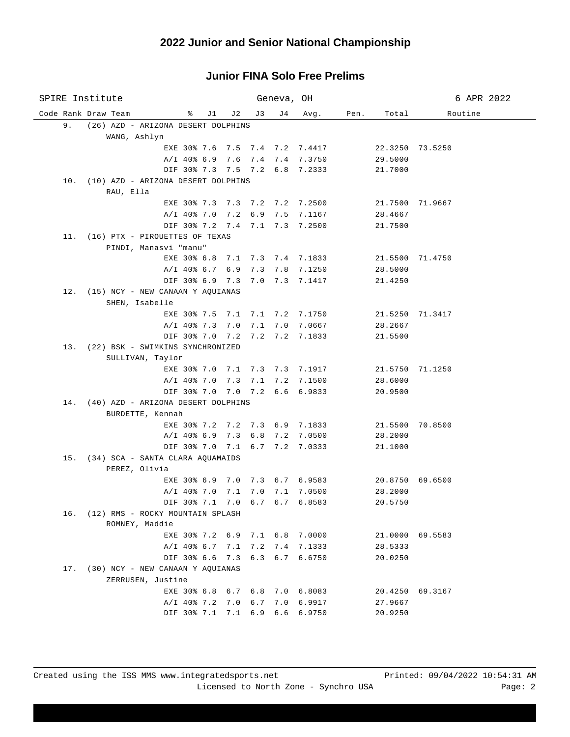| SPIRE Institute                          |                                                       |                    | Geneva, OH |                |      |                 | 6 APR 2022      |
|------------------------------------------|-------------------------------------------------------|--------------------|------------|----------------|------|-----------------|-----------------|
| Code Rank Draw Team                      | % J1 J2 J3                                            |                    | J 4        | Avg.           | Pen. | Total           | Routine         |
| 9.<br>(26) AZD - ARIZONA DESERT DOLPHINS |                                                       |                    |            |                |      |                 |                 |
| WANG, Ashlyn                             |                                                       |                    |            |                |      |                 |                 |
|                                          | EXE 30% 7.6 7.5 7.4 7.2 7.4417                        |                    |            |                |      |                 | 22.3250 73.5250 |
|                                          | A/I 40% 6.9 7.6 7.4 7.4 7.3750                        |                    |            |                |      | 29.5000         |                 |
|                                          | DIF 30% 7.3 7.5 7.2 6.8 7.2333                        |                    |            |                |      | 21.7000         |                 |
| 10. (10) AZD - ARIZONA DESERT DOLPHINS   |                                                       |                    |            |                |      |                 |                 |
| RAU, Ella                                |                                                       |                    |            |                |      |                 |                 |
|                                          | EXE 30% 7.3 7.3 7.2 7.2 7.2500                        |                    |            |                |      |                 | 21.7500 71.9667 |
|                                          | A/I 40% 7.0 7.2 6.9 7.5 7.1167                        |                    |            |                |      | 28.4667         |                 |
|                                          | DIF 30% 7.2 7.4 7.1 7.3 7.2500                        |                    |            |                |      | 21.7500         |                 |
| 11. (16) PTX - PIROUETTES OF TEXAS       |                                                       |                    |            |                |      |                 |                 |
| PINDI, Manasvi "manu"                    |                                                       |                    |            |                |      |                 |                 |
|                                          | EXE 30% 6.8 7.1 7.3 7.4 7.1833                        |                    |            |                |      | 21.5500 71.4750 |                 |
|                                          | $A/I$ 40% 6.7 6.9 7.3                                 |                    |            | 7.8 7.1250     |      | 28.5000         |                 |
|                                          | DIF 30% 6.9 7.3 7.0 7.3 7.1417                        |                    |            |                |      | 21.4250         |                 |
| 12. (15) NCY - NEW CANAAN Y AQUIANAS     |                                                       |                    |            |                |      |                 |                 |
| SHEN, Isabelle                           |                                                       |                    |            |                |      |                 |                 |
|                                          | EXE 30% 7.5 7.1 7.1 7.2 7.1750                        |                    |            |                |      |                 | 21.5250 71.3417 |
|                                          | A/I 40% 7.3 7.0 7.1<br>DIF 30% 7.0 7.2 7.2 7.2 7.1833 |                    |            | 7.0 7.0667     |      | 28.2667         |                 |
| 13. (22) BSK - SWIMKINS SYNCHRONIZED     |                                                       |                    |            |                |      | 21.5500         |                 |
| SULLIVAN, Taylor                         |                                                       |                    |            |                |      |                 |                 |
|                                          | EXE 30% 7.0 7.1 7.3 7.3 7.1917                        |                    |            |                |      | 21.5750 71.1250 |                 |
|                                          | A/I 40% 7.0 7.3 7.1 7.2 7.1500                        |                    |            |                |      | 28.6000         |                 |
|                                          | DIF 30% 7.0 7.0 7.2 6.6 6.9833                        |                    |            |                |      | 20.9500         |                 |
| 14. (40) AZD - ARIZONA DESERT DOLPHINS   |                                                       |                    |            |                |      |                 |                 |
| BURDETTE, Kennah                         |                                                       |                    |            |                |      |                 |                 |
|                                          | EXE 30% 7.2 7.2 7.3 6.9 7.1833                        |                    |            |                |      |                 | 21.5500 70.8500 |
|                                          | A/I 40% 6.9 7.3 6.8 7.2 7.0500                        |                    |            |                |      | 28.2000         |                 |
|                                          | DIF 30% 7.0 7.1 6.7 7.2 7.0333                        |                    |            |                |      | 21.1000         |                 |
| 15. (34) SCA - SANTA CLARA AQUAMAIDS     |                                                       |                    |            |                |      |                 |                 |
| PEREZ, Olivia                            |                                                       |                    |            |                |      |                 |                 |
|                                          | EXE 30% 6.9 7.0 7.3 6.7 6.9583                        |                    |            |                |      | 20.8750 69.6500 |                 |
|                                          | $A/I$ 40% 7.0                                         | 7.1 7.0 7.1 7.0500 |            |                |      | 28.2000         |                 |
|                                          | DIF 30% 7.1 7.0 6.7 6.7 6.8583                        |                    |            |                |      | 20.5750         |                 |
| 16. (12) RMS - ROCKY MOUNTAIN SPLASH     |                                                       |                    |            |                |      |                 |                 |
| ROMNEY, Maddie                           |                                                       |                    |            |                |      |                 |                 |
|                                          | EXE 30% 7.2 6.9 7.1 6.8 7.0000                        |                    |            |                |      |                 | 21.0000 69.5583 |
|                                          | A/I 40% 6.7 7.1                                       | 7.2                | 7.4        | 7.1333         |      | 28.5333         |                 |
|                                          | DIF 30% 6.6 7.3                                       |                    |            | 6.3 6.7 6.6750 |      | 20.0250         |                 |
| 17. (30) NCY - NEW CANAAN Y AOUIANAS     |                                                       |                    |            |                |      |                 |                 |
| ZERRUSEN, Justine                        |                                                       |                    |            |                |      |                 |                 |
|                                          | EXE 30% 6.8 6.7 6.8 7.0 6.8083                        |                    |            |                |      |                 | 20.4250 69.3167 |
|                                          | A/I 40% 7.2 7.0                                       | 6.7                | 7.0        | 6.9917         |      | 27.9667         |                 |
|                                          | DIF 30% 7.1 7.1 6.9                                   |                    | 6.6        | 6.9750         |      | 20.9250         |                 |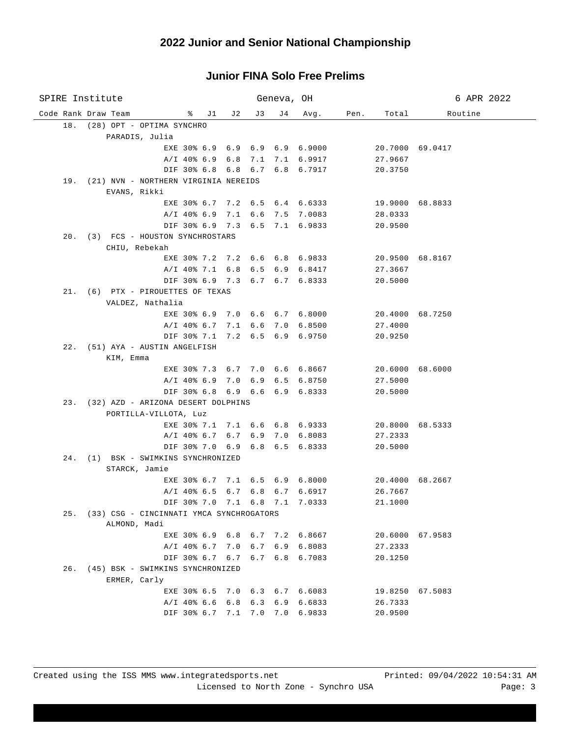| SPIRE Institute                                           |     |         | Geneva, OH |        |      |                    | 6 APR 2022      |
|-----------------------------------------------------------|-----|---------|------------|--------|------|--------------------|-----------------|
| Code Rank Draw Team<br>$\frac{1}{2}$ $\frac{1}{2}$        | J 2 | J 3     | J 4        | Avg.   | Pen. | Total              | Routine         |
| 18. (28) OPT - OPTIMA SYNCHRO                             |     |         |            |        |      |                    |                 |
| PARADIS, Julia                                            |     |         |            |        |      |                    |                 |
| EXE 30% 6.9 6.9 6.9 6.9 6.9000                            |     |         |            |        |      |                    | 20.7000 69.0417 |
| A/I 40% 6.9 6.8 7.1 7.1 6.9917                            |     |         |            |        |      | 27.9667            |                 |
| DIF 30% 6.8 6.8 6.7 6.8 6.7917                            |     |         |            |        |      | 20.3750            |                 |
| 19. (21) NVN - NORTHERN VIRGINIA NEREIDS                  |     |         |            |        |      |                    |                 |
| EVANS, Rikki                                              |     |         |            |        |      |                    |                 |
| EXE 30% 6.7 7.2 6.5 6.4 6.6333                            |     |         |            |        |      | 19.9000 68.8833    |                 |
| A/I 40% 6.9 7.1 6.6 7.5 7.0083                            |     |         |            |        |      | 28.0333            |                 |
| DIF 30% 6.9 7.3 6.5 7.1 6.9833                            |     |         |            |        |      | 20.9500            |                 |
| 20. (3) FCS - HOUSTON SYNCHROSTARS                        |     |         |            |        |      |                    |                 |
| CHIU, Rebekah                                             |     |         |            |        |      |                    |                 |
| EXE 30% 7.2 7.2 6.6 6.8 6.9833                            |     |         |            |        |      |                    | 20.9500 68.8167 |
| A/I 40% 7.1 6.8 6.5 6.9                                   |     |         |            | 6.8417 |      | 27.3667            |                 |
| DIF 30% 6.9 7.3 6.7 6.7 6.8333                            |     |         |            |        |      | 20.5000            |                 |
| 21. (6) PTX - PIROUETTES OF TEXAS                         |     |         |            |        |      |                    |                 |
| VALDEZ, Nathalia                                          |     |         |            |        |      |                    |                 |
| EXE 30% 6.9 7.0 6.6 6.7 6.8000<br>A/I 40% 6.7 7.1 6.6 7.0 |     |         |            |        |      |                    | 20.4000 68.7250 |
| DIF 30% 7.1 7.2 6.5 6.9 6.9750                            |     |         |            | 6.8500 |      | 27.4000<br>20.9250 |                 |
| 22. (51) AYA - AUSTIN ANGELFISH                           |     |         |            |        |      |                    |                 |
| KIM, Emma                                                 |     |         |            |        |      |                    |                 |
| EXE 30% 7.3 6.7 7.0 6.6 6.8667                            |     |         |            |        |      |                    | 20.6000 68.6000 |
| A/I 40% 6.9 7.0 6.9 6.5 6.8750                            |     |         |            |        |      | 27.5000            |                 |
| DIF 30% 6.8 6.9 6.6 6.9 6.8333                            |     |         |            |        |      | 20.5000            |                 |
| 23. (32) AZD - ARIZONA DESERT DOLPHINS                    |     |         |            |        |      |                    |                 |
| PORTILLA-VILLOTA, Luz                                     |     |         |            |        |      |                    |                 |
| EXE 30% 7.1 7.1 6.6 6.8 6.9333                            |     |         |            |        |      |                    | 20.8000 68.5333 |
| A/I 40% 6.7 6.7 6.9 7.0 6.8083                            |     |         |            |        |      | 27.2333            |                 |
| DIF 30% 7.0 6.9 6.8 6.5 6.8333                            |     |         |            |        |      | 20.5000            |                 |
| 24. (1) BSK - SWIMKINS SYNCHRONIZED                       |     |         |            |        |      |                    |                 |
| STARCK, Jamie                                             |     |         |            |        |      |                    |                 |
| EXE 30% 6.7 7.1 6.5 6.9 6.8000                            |     |         |            |        |      |                    | 20.4000 68.2667 |
| A/I 40% 6.5 6.7 6.8 6.7                                   |     |         |            | 6.6917 |      | 26.7667            |                 |
| DIF 30% 7.0 7.1 6.8 7.1 7.0333                            |     |         |            |        |      | 21.1000            |                 |
| 25. (33) CSG - CINCINNATI YMCA SYNCHROGATORS              |     |         |            |        |      |                    |                 |
| ALMOND, Madi                                              |     |         |            |        |      |                    |                 |
| EXE 30% 6.9 6.8 6.7 7.2 6.8667                            |     |         |            |        |      |                    | 20.6000 67.9583 |
| $A/I$ 40% 6.7 7.0                                         |     | 6.7 6.9 |            | 6.8083 |      | 27.2333            |                 |
| DIF 30% 6.7 6.7 6.7 6.8 6.7083                            |     |         |            |        |      | 20.1250            |                 |
| 26. (45) BSK - SWIMKINS SYNCHRONIZED                      |     |         |            |        |      |                    |                 |
| ERMER, Carly                                              |     |         |            |        |      |                    |                 |
| EXE 30% 6.5 7.0 6.3 6.7 6.6083                            |     |         |            |        |      |                    | 19.8250 67.5083 |
| $A/I$ 40% 6.6 6.8                                         |     | 6.3     | 6.9        | 6.6833 |      | 26.7333            |                 |
| DIF 30% 6.7 7.1 7.0 7.0                                   |     |         |            | 6.9833 |      | 20.9500            |                 |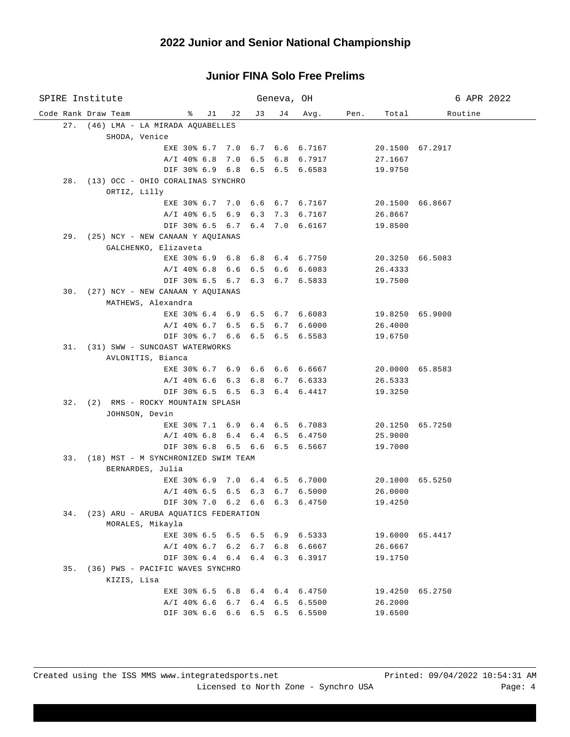| SPIRE Institute                                                    |     | Geneva, OH |         |      |                 | 6 APR 2022      |
|--------------------------------------------------------------------|-----|------------|---------|------|-----------------|-----------------|
| Code Rank Draw Team<br>% J1 J2                                     | J 3 |            | J4 Avg. | Pen. | Total           | Routine         |
| 27. (46) LMA - LA MIRADA AQUABELLES                                |     |            |         |      |                 |                 |
| SHODA, Venice                                                      |     |            |         |      |                 |                 |
| EXE 30% 6.7 7.0 6.7 6.6 6.7167                                     |     |            |         |      |                 | 20.1500 67.2917 |
| A/I 40% 6.8 7.0 6.5 6.8 6.7917                                     |     |            |         |      | 27.1667         |                 |
| DIF 30% 6.9 6.8 6.5 6.5 6.6583                                     |     |            |         |      | 19.9750         |                 |
| 28. (13) OCC - OHIO CORALINAS SYNCHRO                              |     |            |         |      |                 |                 |
| ORTIZ, Lilly                                                       |     |            |         |      |                 |                 |
| EXE 30% 6.7 7.0 6.6 6.7 6.7167                                     |     |            |         |      | 20.1500 66.8667 |                 |
| A/I 40% 6.5 6.9 6.3 7.3 6.7167                                     |     |            |         |      | 26.8667         |                 |
| DIF 30% 6.5 6.7 6.4 7.0 6.6167                                     |     |            |         |      | 19.8500         |                 |
| 29. (25) NCY - NEW CANAAN Y AQUIANAS<br>GALCHENKO, Elizaveta       |     |            |         |      |                 |                 |
| EXE 30% 6.9 6.8 6.8 6.4 6.7750                                     |     |            |         |      |                 | 20.3250 66.5083 |
| A/I 40% 6.8 6.6 6.5 6.6 6.6083                                     |     |            |         |      | 26.4333         |                 |
| DIF 30% 6.5 6.7 6.3 6.7 6.5833                                     |     |            |         |      | 19.7500         |                 |
| 30. (27) NCY - NEW CANAAN Y AQUIANAS                               |     |            |         |      |                 |                 |
| MATHEWS, Alexandra                                                 |     |            |         |      |                 |                 |
| EXE 30% 6.4 6.9 6.5 6.7 6.6083                                     |     |            |         |      | 19.8250 65.9000 |                 |
| A/I 40% 6.7 6.5 6.5 6.7 6.6000                                     |     |            |         |      | 26.4000         |                 |
| DIF 30% 6.7 6.6 6.5 6.5 6.5583                                     |     |            |         |      | 19.6750         |                 |
| 31. (31) SWW - SUNCOAST WATERWORKS                                 |     |            |         |      |                 |                 |
| AVLONITIS, Bianca                                                  |     |            |         |      |                 |                 |
| EXE 30% 6.7 6.9 6.6 6.6 6.6667                                     |     |            |         |      |                 | 20.0000 65.8583 |
| A/I 40% 6.6 6.3 6.8 6.7 6.6333                                     |     |            |         |      | 26.5333         |                 |
| DIF 30% 6.5 6.5 6.3 6.4 6.4417                                     |     |            |         |      | 19.3250         |                 |
| 32. (2) RMS - ROCKY MOUNTAIN SPLASH                                |     |            |         |      |                 |                 |
| JOHNSON, Devin                                                     |     |            |         |      |                 |                 |
| EXE 30% 7.1 6.9 6.4 6.5 6.7083                                     |     |            |         |      |                 | 20.1250 65.7250 |
| A/I 40% 6.8 6.4 6.4 6.5 6.4750                                     |     |            |         |      | 25.9000         |                 |
| DIF 30% 6.8 6.5 6.6 6.5 6.5667                                     |     |            |         |      | 19.7000         |                 |
| 33. (18) MST - M SYNCHRONIZED SWIM TEAM                            |     |            |         |      |                 |                 |
| BERNARDES, Julia<br>EXE 30% 6.9 7.0 6.4 6.5 6.7000 20.1000 65.5250 |     |            |         |      |                 |                 |
| A/I 40% 6.5 6.5 6.3 6.7 6.5000                                     |     |            |         |      | 26.0000         |                 |
| DIF 30% 7.0 6.2 6.6 6.3 6.4750                                     |     |            |         |      | 19.4250         |                 |
| 34. (23) ARU - ARUBA AQUATICS FEDERATION                           |     |            |         |      |                 |                 |
| MORALES, Mikayla                                                   |     |            |         |      |                 |                 |
| EXE 30% 6.5 6.5 6.5 6.9 6.5333                                     |     |            |         |      |                 | 19.6000 65.4417 |
| A/I 40% 6.7 6.2 6.7 6.8 6.6667                                     |     |            |         |      | 26.6667         |                 |
| DIF 30% 6.4 6.4 6.4 6.3 6.3917                                     |     |            |         |      | 19.1750         |                 |
| 35. (36) PWS - PACIFIC WAVES SYNCHRO                               |     |            |         |      |                 |                 |
| KIZIS, Lisa                                                        |     |            |         |      |                 |                 |
| EXE 30% 6.5 6.8 6.4 6.4 6.4750                                     |     |            |         |      |                 | 19.4250 65.2750 |
| A/I 40% 6.6 6.7 6.4 6.5 6.5500                                     |     |            |         |      | 26.2000         |                 |
| DIF 30% 6.6 6.6 6.5 6.5 6.5500                                     |     |            |         |      | 19.6500         |                 |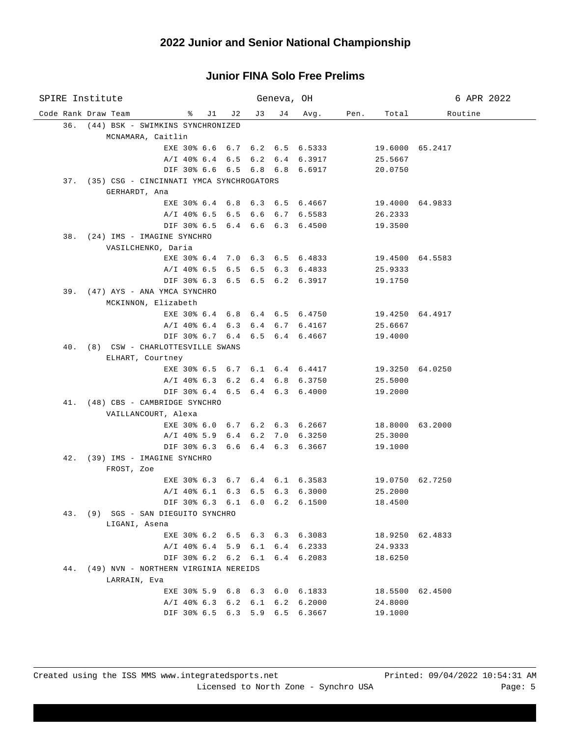| SPIRE Institute                                                  |     | Geneva, OH |            |      |                    | 6 APR 2022      |
|------------------------------------------------------------------|-----|------------|------------|------|--------------------|-----------------|
| Code Rank Draw Team<br>$\frac{1}{2}$ $\frac{1}{2}$ $\frac{1}{2}$ | J 3 |            | J4 Avg.    | Pen. | Total              | Routine         |
| 36. (44) BSK - SWIMKINS SYNCHRONIZED                             |     |            |            |      |                    |                 |
| MCNAMARA, Caitlin                                                |     |            |            |      |                    |                 |
| EXE 30% 6.6 6.7 6.2 6.5 6.5333                                   |     |            |            |      | 19.6000 65.2417    |                 |
| A/I 40% 6.4 6.5 6.2 6.4 6.3917                                   |     |            |            |      | 25.5667            |                 |
| DIF 30% 6.6 6.5 6.8 6.8 6.6917                                   |     |            |            |      | 20.0750            |                 |
| 37. (35) CSG - CINCINNATI YMCA SYNCHROGATORS                     |     |            |            |      |                    |                 |
| GERHARDT, Ana                                                    |     |            |            |      |                    |                 |
| EXE 30% 6.4 6.8 6.3 6.5 6.4667                                   |     |            |            |      | 19.4000 64.9833    |                 |
| A/I 40% 6.5 6.5 6.6 6.7 6.5583                                   |     |            |            |      | 26.2333            |                 |
| DIF 30% 6.5 6.4 6.6 6.3 6.4500                                   |     |            |            |      | 19.3500            |                 |
| 38. (24) IMS - IMAGINE SYNCHRO                                   |     |            |            |      |                    |                 |
| VASILCHENKO, Daria                                               |     |            |            |      |                    |                 |
| EXE 30% 6.4 7.0 6.3 6.5 6.4833                                   |     |            |            |      | 19.4500 64.5583    |                 |
| A/I 40% 6.5 6.5 6.5 6.3 6.4833<br>DIF 30% 6.3 6.5 6.5 6.2 6.3917 |     |            |            |      | 25.9333<br>19.1750 |                 |
| 39. (47) AYS - ANA YMCA SYNCHRO                                  |     |            |            |      |                    |                 |
| MCKINNON, Elizabeth                                              |     |            |            |      |                    |                 |
| EXE 30% 6.4 6.8 6.4 6.5 6.4750                                   |     |            |            |      | 19.4250 64.4917    |                 |
| A/I 40% 6.4 6.3 6.4 6.7 6.4167                                   |     |            |            |      | 25.6667            |                 |
| DIF 30% 6.7 6.4 6.5 6.4 6.4667                                   |     |            |            |      | 19.4000            |                 |
| 40. (8) CSW - CHARLOTTESVILLE SWANS                              |     |            |            |      |                    |                 |
| ELHART, Courtney                                                 |     |            |            |      |                    |                 |
| EXE 30% 6.5 6.7 6.1 6.4 6.4417 19.3250 64.0250                   |     |            |            |      |                    |                 |
| A/I 40% 6.3 6.2 6.4 6.8 6.3750                                   |     |            |            |      | 25.5000            |                 |
| DIF 30% 6.4 6.5 6.4 6.3 6.4000                                   |     |            |            |      | 19.2000            |                 |
| 41. (48) CBS - CAMBRIDGE SYNCHRO                                 |     |            |            |      |                    |                 |
| VAILLANCOURT, Alexa                                              |     |            |            |      |                    |                 |
| EXE 30% 6.0 6.7 6.2 6.3 6.2667                                   |     |            |            |      | 18.8000 63.2000    |                 |
| A/I 40% 5.9 6.4 6.2 7.0 6.3250                                   |     |            |            |      | 25.3000            |                 |
| DIF 30% 6.3 6.6 6.4 6.3 6.3667                                   |     |            |            |      | 19.1000            |                 |
| 42. (39) IMS - IMAGINE SYNCHRO                                   |     |            |            |      |                    |                 |
| FROST, Zoe                                                       |     |            |            |      |                    |                 |
| EXE 30% 6.3 6.7 6.4 6.1 6.3583 19.0750 62.7250                   |     |            |            |      |                    |                 |
| A/I 40% 6.1 6.3 6.5 6.3 6.3000 25.2000                           |     |            |            |      |                    |                 |
| DIF 30% 6.3 6.1 6.0 6.2 6.1500                                   |     |            |            |      | 18.4500            |                 |
| 43. (9) SGS - SAN DIEGUITO SYNCHRO<br>LIGANI, Asena              |     |            |            |      |                    |                 |
| EXE 30% 6.2 6.5 6.3 6.3 6.3083                                   |     |            |            |      |                    | 18.9250 62.4833 |
| A/I 40% 6.4 5.9 6.1 6.4 6.2333                                   |     |            |            |      | 24.9333            |                 |
| DIF 30% 6.2 6.2 6.1 6.4 6.2083                                   |     |            |            |      | 18.6250            |                 |
| 44. (49) NVN - NORTHERN VIRGINIA NEREIDS                         |     |            |            |      |                    |                 |
| LARRAIN, Eva                                                     |     |            |            |      |                    |                 |
| EXE 30% 5.9 6.8 6.3 6.0 6.1833                                   |     |            |            |      |                    | 18.5500 62.4500 |
| $A/I$ 40% 6.3 6.2 6.1                                            |     |            | 6.2 6.2000 |      | 24.8000            |                 |
| DIF 30% 6.5 6.3 5.9 6.5 6.3667                                   |     |            |            |      | 19.1000            |                 |
|                                                                  |     |            |            |      |                    |                 |